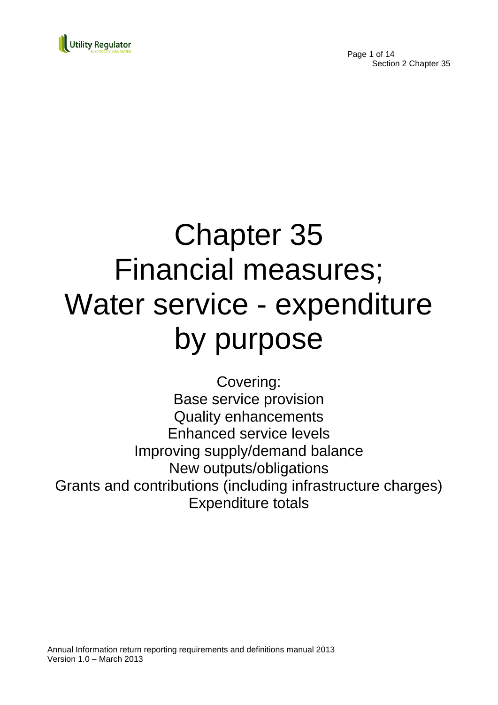

Page 1 of 14 Section 2 Chapter 35

# Chapter 35 Financial measures; Water service - expenditure by purpose

Covering: Base service provision Quality enhancements Enhanced service levels Improving supply/demand balance New outputs/obligations Grants and contributions (including infrastructure charges) Expenditure totals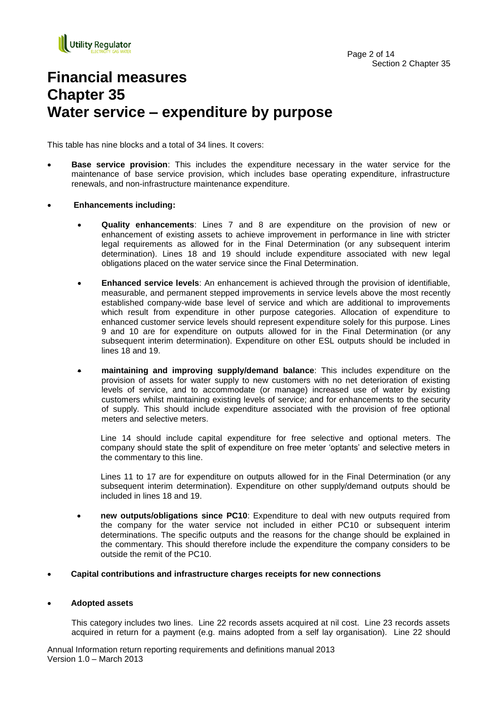

# **Financial measures Chapter 35 Water service – expenditure by purpose**

This table has nine blocks and a total of 34 lines. It covers:

- **Base service provision**: This includes the expenditure necessary in the water service for the maintenance of base service provision, which includes base operating expenditure, infrastructure renewals, and non-infrastructure maintenance expenditure.
- **Enhancements including:**
	- **Quality enhancements**: Lines 7 and 8 are expenditure on the provision of new or enhancement of existing assets to achieve improvement in performance in line with stricter legal requirements as allowed for in the Final Determination (or any subsequent interim determination). Lines 18 and 19 should include expenditure associated with new legal obligations placed on the water service since the Final Determination.
	- **Enhanced service levels**: An enhancement is achieved through the provision of identifiable, measurable, and permanent stepped improvements in service levels above the most recently established company-wide base level of service and which are additional to improvements which result from expenditure in other purpose categories. Allocation of expenditure to enhanced customer service levels should represent expenditure solely for this purpose. Lines 9 and 10 are for expenditure on outputs allowed for in the Final Determination (or any subsequent interim determination). Expenditure on other ESL outputs should be included in lines 18 and 19.
	- **maintaining and improving supply/demand balance**: This includes expenditure on the provision of assets for water supply to new customers with no net deterioration of existing levels of service, and to accommodate (or manage) increased use of water by existing customers whilst maintaining existing levels of service; and for enhancements to the security of supply. This should include expenditure associated with the provision of free optional meters and selective meters.

Line 14 should include capital expenditure for free selective and optional meters. The company should state the split of expenditure on free meter "optants" and selective meters in the commentary to this line.

Lines 11 to 17 are for expenditure on outputs allowed for in the Final Determination (or any subsequent interim determination). Expenditure on other supply/demand outputs should be included in lines 18 and 19.

- **new outputs/obligations since PC10**: Expenditure to deal with new outputs required from the company for the water service not included in either PC10 or subsequent interim determinations. The specific outputs and the reasons for the change should be explained in the commentary. This should therefore include the expenditure the company considers to be outside the remit of the PC10.
- **Capital contributions and infrastructure charges receipts for new connections**

#### **Adopted assets**

This category includes two lines. Line 22 records assets acquired at nil cost. Line 23 records assets acquired in return for a payment (e.g. mains adopted from a self lay organisation). Line 22 should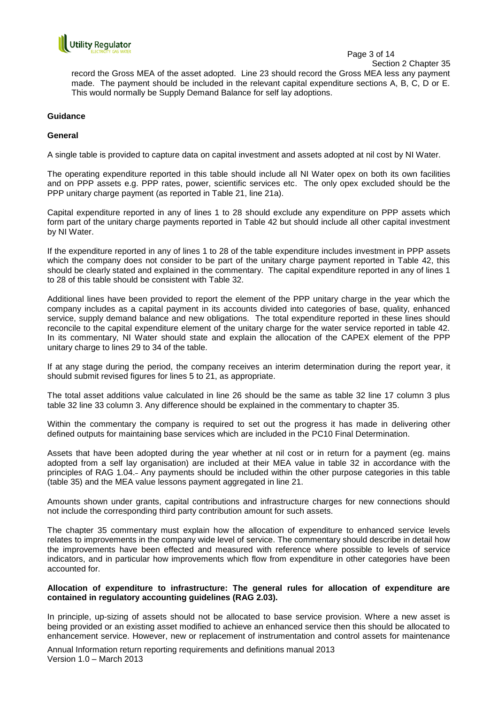

Page 3 of 14

Section 2 Chapter 35

record the Gross MEA of the asset adopted. Line 23 should record the Gross MEA less any payment made. The payment should be included in the relevant capital expenditure sections A, B, C, D or E. This would normally be Supply Demand Balance for self lay adoptions.

#### **Guidance**

#### **General**

A single table is provided to capture data on capital investment and assets adopted at nil cost by NI Water.

The operating expenditure reported in this table should include all NI Water opex on both its own facilities and on PPP assets e.g. PPP rates, power, scientific services etc. The only opex excluded should be the PPP unitary charge payment (as reported in Table 21, line 21a).

Capital expenditure reported in any of lines 1 to 28 should exclude any expenditure on PPP assets which form part of the unitary charge payments reported in Table 42 but should include all other capital investment by NI Water.

If the expenditure reported in any of lines 1 to 28 of the table expenditure includes investment in PPP assets which the company does not consider to be part of the unitary charge payment reported in Table 42, this should be clearly stated and explained in the commentary. The capital expenditure reported in any of lines 1 to 28 of this table should be consistent with Table 32.

Additional lines have been provided to report the element of the PPP unitary charge in the year which the company includes as a capital payment in its accounts divided into categories of base, quality, enhanced service, supply demand balance and new obligations. The total expenditure reported in these lines should reconcile to the capital expenditure element of the unitary charge for the water service reported in table 42. In its commentary, NI Water should state and explain the allocation of the CAPEX element of the PPP unitary charge to lines 29 to 34 of the table.

If at any stage during the period, the company receives an interim determination during the report year, it should submit revised figures for lines 5 to 21, as appropriate.

The total asset additions value calculated in line 26 should be the same as table 32 line 17 column 3 plus table 32 line 33 column 3. Any difference should be explained in the commentary to chapter 35.

Within the commentary the company is required to set out the progress it has made in delivering other defined outputs for maintaining base services which are included in the PC10 Final Determination.

Assets that have been adopted during the year whether at nil cost or in return for a payment (eg. mains adopted from a self lay organisation) are included at their MEA value in table 32 in accordance with the principles of RAG 1.04. Any payments should be included within the other purpose categories in this table (table 35) and the MEA value lessons payment aggregated in line 21.

Amounts shown under grants, capital contributions and infrastructure charges for new connections should not include the corresponding third party contribution amount for such assets.

The chapter 35 commentary must explain how the allocation of expenditure to enhanced service levels relates to improvements in the company wide level of service. The commentary should describe in detail how the improvements have been effected and measured with reference where possible to levels of service indicators, and in particular how improvements which flow from expenditure in other categories have been accounted for.

#### **Allocation of expenditure to infrastructure: The general rules for allocation of expenditure are contained in regulatory accounting guidelines (RAG 2.03).**

In principle, up-sizing of assets should not be allocated to base service provision. Where a new asset is being provided or an existing asset modified to achieve an enhanced service then this should be allocated to enhancement service. However, new or replacement of instrumentation and control assets for maintenance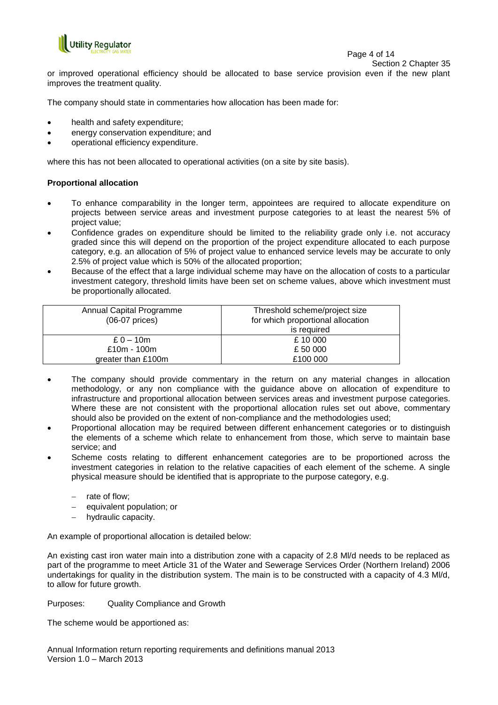

Page 4 of 14

Section 2 Chapter 35

or improved operational efficiency should be allocated to base service provision even if the new plant improves the treatment quality.

The company should state in commentaries how allocation has been made for:

- health and safety expenditure;
- energy conservation expenditure; and
- operational efficiency expenditure.

where this has not been allocated to operational activities (on a site by site basis).

#### **Proportional allocation**

- To enhance comparability in the longer term, appointees are required to allocate expenditure on projects between service areas and investment purpose categories to at least the nearest 5% of project value;
- Confidence grades on expenditure should be limited to the reliability grade only i.e. not accuracy graded since this will depend on the proportion of the project expenditure allocated to each purpose category, e.g. an allocation of 5% of project value to enhanced service levels may be accurate to only 2.5% of project value which is 50% of the allocated proportion;
- Because of the effect that a large individual scheme may have on the allocation of costs to a particular investment category, threshold limits have been set on scheme values, above which investment must be proportionally allocated.

| Annual Capital Programme<br>$(06-07)$ prices) | Threshold scheme/project size<br>for which proportional allocation |
|-----------------------------------------------|--------------------------------------------------------------------|
|                                               | is required                                                        |
| $£ 0 - 10m$                                   | £10 000                                                            |
| £10 $m - 100m$                                | £ 50 000                                                           |
| greater than £100m                            | £100 000                                                           |
|                                               |                                                                    |

- The company should provide commentary in the return on any material changes in allocation methodology, or any non compliance with the guidance above on allocation of expenditure to infrastructure and proportional allocation between services areas and investment purpose categories. Where these are not consistent with the proportional allocation rules set out above, commentary should also be provided on the extent of non-compliance and the methodologies used;
- Proportional allocation may be required between different enhancement categories or to distinguish the elements of a scheme which relate to enhancement from those, which serve to maintain base service; and
- Scheme costs relating to different enhancement categories are to be proportioned across the investment categories in relation to the relative capacities of each element of the scheme. A single physical measure should be identified that is appropriate to the purpose category, e.g.
	- rate of flow;
	- equivalent population; or
	- hydraulic capacity.

An example of proportional allocation is detailed below:

An existing cast iron water main into a distribution zone with a capacity of 2.8 Ml/d needs to be replaced as part of the programme to meet Article 31 of the Water and Sewerage Services Order (Northern Ireland) 2006 undertakings for quality in the distribution system. The main is to be constructed with a capacity of 4.3 Ml/d, to allow for future growth.

Purposes: Quality Compliance and Growth

The scheme would be apportioned as: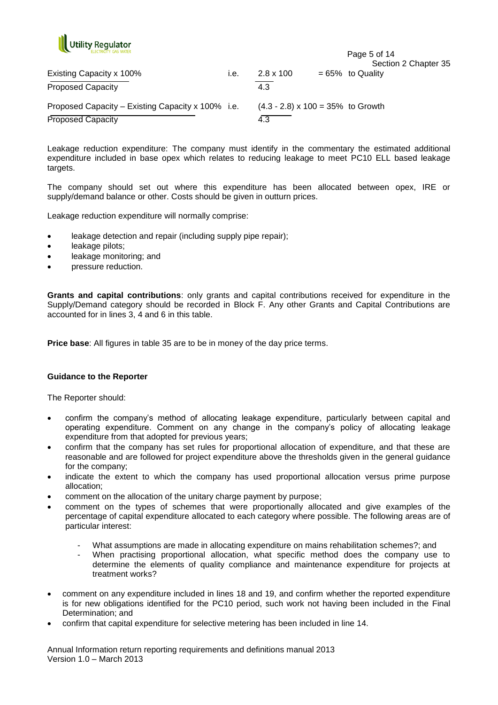

| <b>FLECTRICITY GAS WATER</b>                      |      |                                           | Page 5 of 14                                |
|---------------------------------------------------|------|-------------------------------------------|---------------------------------------------|
| Existing Capacity x 100%                          | ı.e. | $2.8 \times 100$                          | Section 2 Chapter 35<br>$= 65\%$ to Quality |
| <b>Proposed Capacity</b>                          |      | 4.3                                       |                                             |
| Proposed Capacity – Existing Capacity x 100% i.e. |      | $(4.3 - 2.8) \times 100 = 35\%$ to Growth |                                             |
| <b>Proposed Capacity</b>                          |      | 4.3                                       |                                             |

Leakage reduction expenditure: The company must identify in the commentary the estimated additional expenditure included in base opex which relates to reducing leakage to meet PC10 ELL based leakage targets.

The company should set out where this expenditure has been allocated between opex, IRE or supply/demand balance or other. Costs should be given in outturn prices.

Leakage reduction expenditure will normally comprise:

- leakage detection and repair (including supply pipe repair);
- leakage pilots;
- leakage monitoring; and
- pressure reduction.

**Grants and capital contributions**: only grants and capital contributions received for expenditure in the Supply/Demand category should be recorded in Block F. Any other Grants and Capital Contributions are accounted for in lines 3, 4 and 6 in this table.

**Price base**: All figures in table 35 are to be in money of the day price terms.

#### **Guidance to the Reporter**

The Reporter should:

- confirm the company"s method of allocating leakage expenditure, particularly between capital and operating expenditure. Comment on any change in the company"s policy of allocating leakage expenditure from that adopted for previous years;
- confirm that the company has set rules for proportional allocation of expenditure, and that these are reasonable and are followed for project expenditure above the thresholds given in the general guidance for the company;
- indicate the extent to which the company has used proportional allocation versus prime purpose allocation;
- comment on the allocation of the unitary charge payment by purpose;
- comment on the types of schemes that were proportionally allocated and give examples of the percentage of capital expenditure allocated to each category where possible. The following areas are of particular interest:
	- What assumptions are made in allocating expenditure on mains rehabilitation schemes?; and
	- When practising proportional allocation, what specific method does the company use to determine the elements of quality compliance and maintenance expenditure for projects at treatment works?
- comment on any expenditure included in lines 18 and 19, and confirm whether the reported expenditure is for new obligations identified for the PC10 period, such work not having been included in the Final Determination; and
- confirm that capital expenditure for selective metering has been included in line 14.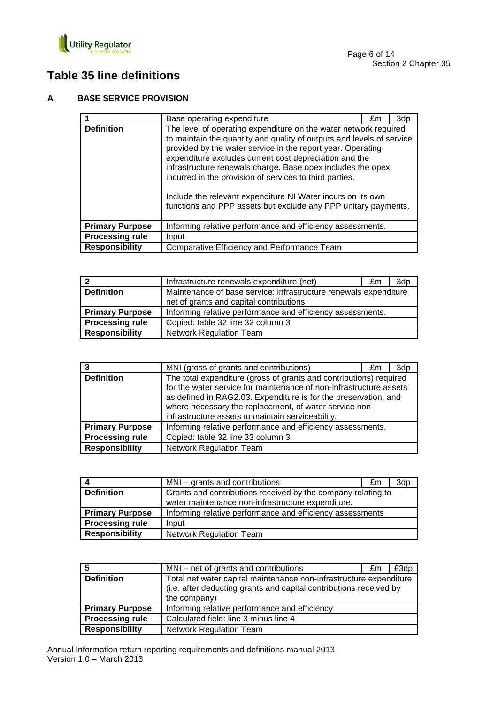

# **Table 35 line definitions**

## **A BASE SERVICE PROVISION**

|                        | Base operating expenditure                                                                                                                                                                                                                                                                                                                                                                                                                                                                                                    | £m | 3dp |
|------------------------|-------------------------------------------------------------------------------------------------------------------------------------------------------------------------------------------------------------------------------------------------------------------------------------------------------------------------------------------------------------------------------------------------------------------------------------------------------------------------------------------------------------------------------|----|-----|
| <b>Definition</b>      | The level of operating expenditure on the water network required<br>to maintain the quantity and quality of outputs and levels of service<br>provided by the water service in the report year. Operating<br>expenditure excludes current cost depreciation and the<br>infrastructure renewals charge. Base opex includes the opex<br>incurred in the provision of services to third parties.<br>Include the relevant expenditure NI Water incurs on its own<br>functions and PPP assets but exclude any PPP unitary payments. |    |     |
| <b>Primary Purpose</b> | Informing relative performance and efficiency assessments.                                                                                                                                                                                                                                                                                                                                                                                                                                                                    |    |     |
| <b>Processing rule</b> | Input                                                                                                                                                                                                                                                                                                                                                                                                                                                                                                                         |    |     |
| <b>Responsibility</b>  | Comparative Efficiency and Performance Team                                                                                                                                                                                                                                                                                                                                                                                                                                                                                   |    |     |

| l 2                    | Infrastructure renewals expenditure (net)                        | £m | 3dp |
|------------------------|------------------------------------------------------------------|----|-----|
| <b>Definition</b>      | Maintenance of base service: infrastructure renewals expenditure |    |     |
|                        | net of grants and capital contributions.                         |    |     |
| <b>Primary Purpose</b> | Informing relative performance and efficiency assessments.       |    |     |
| <b>Processing rule</b> | Copied: table 32 line 32 column 3                                |    |     |
| <b>Responsibility</b>  | <b>Network Regulation Team</b>                                   |    |     |

| 3                      | MNI (gross of grants and contributions)                                                                                                                                                                                                                                                                                    | £m | 3dp |
|------------------------|----------------------------------------------------------------------------------------------------------------------------------------------------------------------------------------------------------------------------------------------------------------------------------------------------------------------------|----|-----|
| <b>Definition</b>      | The total expenditure (gross of grants and contributions) required<br>for the water service for maintenance of non-infrastructure assets<br>as defined in RAG2.03. Expenditure is for the preservation, and<br>where necessary the replacement, of water service non-<br>infrastructure assets to maintain serviceability. |    |     |
| <b>Primary Purpose</b> | Informing relative performance and efficiency assessments.                                                                                                                                                                                                                                                                 |    |     |
| <b>Processing rule</b> | Copied: table 32 line 33 column 3                                                                                                                                                                                                                                                                                          |    |     |
| <b>Responsibility</b>  | <b>Network Regulation Team</b>                                                                                                                                                                                                                                                                                             |    |     |

|                        | MNI – grants and contributions                               | £m | 3dp |
|------------------------|--------------------------------------------------------------|----|-----|
| <b>Definition</b>      | Grants and contributions received by the company relating to |    |     |
|                        | water maintenance non-infrastructure expenditure.            |    |     |
| <b>Primary Purpose</b> | Informing relative performance and efficiency assessments    |    |     |
| <b>Processing rule</b> | Input                                                        |    |     |
| <b>Responsibility</b>  | <b>Network Regulation Team</b>                               |    |     |

| 5                      | MNI – net of grants and contributions                                                                                                                    | £m | £3dp |
|------------------------|----------------------------------------------------------------------------------------------------------------------------------------------------------|----|------|
| <b>Definition</b>      | Total net water capital maintenance non-infrastructure expenditure<br>(i.e. after deducting grants and capital contributions received by<br>the company) |    |      |
| <b>Primary Purpose</b> | Informing relative performance and efficiency                                                                                                            |    |      |
| <b>Processing rule</b> | Calculated field: line 3 minus line 4                                                                                                                    |    |      |
| Responsibility         | <b>Network Regulation Team</b>                                                                                                                           |    |      |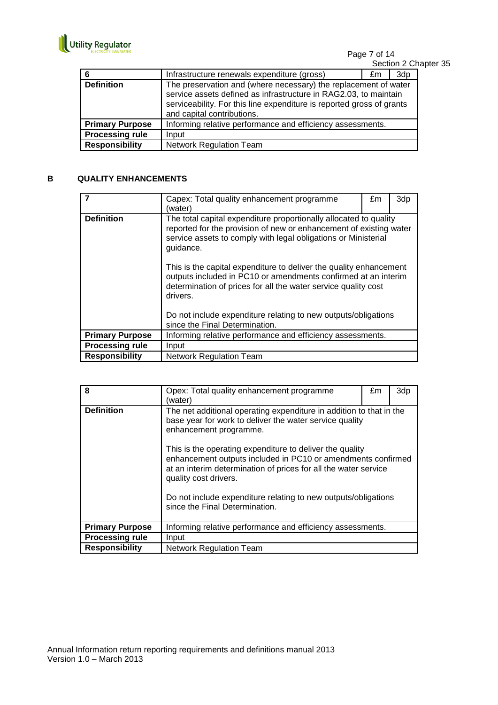

Page 7 of 14 Section 2 Chapter 35

| 6                      | Infrastructure renewals expenditure (gross)                                                                                                                                                                                                | £m | 3dp |
|------------------------|--------------------------------------------------------------------------------------------------------------------------------------------------------------------------------------------------------------------------------------------|----|-----|
| <b>Definition</b>      | The preservation and (where necessary) the replacement of water<br>service assets defined as infrastructure in RAG2.03, to maintain<br>serviceability. For this line expenditure is reported gross of grants<br>and capital contributions. |    |     |
| <b>Primary Purpose</b> | Informing relative performance and efficiency assessments.                                                                                                                                                                                 |    |     |
| <b>Processing rule</b> | Input                                                                                                                                                                                                                                      |    |     |
| <b>Responsibility</b>  | <b>Network Regulation Team</b>                                                                                                                                                                                                             |    |     |

## **B QUALITY ENHANCEMENTS**

|                        | Capex: Total quality enhancement programme<br>(water)                                                                                                                                                                  | £m | 3dp |
|------------------------|------------------------------------------------------------------------------------------------------------------------------------------------------------------------------------------------------------------------|----|-----|
| <b>Definition</b>      | The total capital expenditure proportionally allocated to quality<br>reported for the provision of new or enhancement of existing water<br>service assets to comply with legal obligations or Ministerial<br>guidance. |    |     |
|                        | This is the capital expenditure to deliver the quality enhancement<br>outputs included in PC10 or amendments confirmed at an interim<br>determination of prices for all the water service quality cost<br>drivers.     |    |     |
|                        | Do not include expenditure relating to new outputs/obligations<br>since the Final Determination.                                                                                                                       |    |     |
| <b>Primary Purpose</b> | Informing relative performance and efficiency assessments.                                                                                                                                                             |    |     |
| <b>Processing rule</b> | Input                                                                                                                                                                                                                  |    |     |
| <b>Responsibility</b>  | <b>Network Regulation Team</b>                                                                                                                                                                                         |    |     |

| 8                      | Opex: Total quality enhancement programme<br>(water)                                                                                                                                                                                                                                                                                                                                                                                                                                 | £m | 3dp |
|------------------------|--------------------------------------------------------------------------------------------------------------------------------------------------------------------------------------------------------------------------------------------------------------------------------------------------------------------------------------------------------------------------------------------------------------------------------------------------------------------------------------|----|-----|
| <b>Definition</b>      | The net additional operating expenditure in addition to that in the<br>base year for work to deliver the water service quality<br>enhancement programme.<br>This is the operating expenditure to deliver the quality<br>enhancement outputs included in PC10 or amendments confirmed<br>at an interim determination of prices for all the water service<br>quality cost drivers.<br>Do not include expenditure relating to new outputs/obligations<br>since the Final Determination. |    |     |
| <b>Primary Purpose</b> | Informing relative performance and efficiency assessments.                                                                                                                                                                                                                                                                                                                                                                                                                           |    |     |
| <b>Processing rule</b> | Input                                                                                                                                                                                                                                                                                                                                                                                                                                                                                |    |     |
| <b>Responsibility</b>  | <b>Network Regulation Team</b>                                                                                                                                                                                                                                                                                                                                                                                                                                                       |    |     |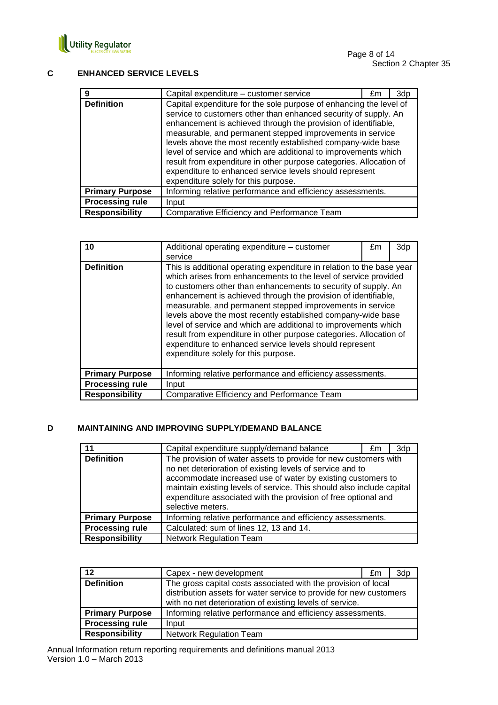

### **C ENHANCED SERVICE LEVELS**

| 9                      | Capital expenditure – customer service                                                                                                                                                                                                                                                                                                                                                                                                                                                                                                                                           | £m | 3dp |
|------------------------|----------------------------------------------------------------------------------------------------------------------------------------------------------------------------------------------------------------------------------------------------------------------------------------------------------------------------------------------------------------------------------------------------------------------------------------------------------------------------------------------------------------------------------------------------------------------------------|----|-----|
| <b>Definition</b>      | Capital expenditure for the sole purpose of enhancing the level of<br>service to customers other than enhanced security of supply. An<br>enhancement is achieved through the provision of identifiable,<br>measurable, and permanent stepped improvements in service<br>levels above the most recently established company-wide base<br>level of service and which are additional to improvements which<br>result from expenditure in other purpose categories. Allocation of<br>expenditure to enhanced service levels should represent<br>expenditure solely for this purpose. |    |     |
| <b>Primary Purpose</b> | Informing relative performance and efficiency assessments.                                                                                                                                                                                                                                                                                                                                                                                                                                                                                                                       |    |     |
| <b>Processing rule</b> | Input                                                                                                                                                                                                                                                                                                                                                                                                                                                                                                                                                                            |    |     |
| <b>Responsibility</b>  | Comparative Efficiency and Performance Team                                                                                                                                                                                                                                                                                                                                                                                                                                                                                                                                      |    |     |

| 10                     | Additional operating expenditure - customer<br>service                                                                                                                                                                                                                                                                                                                                                                                                                                                                                                                                                                                                | £m | 3dp |
|------------------------|-------------------------------------------------------------------------------------------------------------------------------------------------------------------------------------------------------------------------------------------------------------------------------------------------------------------------------------------------------------------------------------------------------------------------------------------------------------------------------------------------------------------------------------------------------------------------------------------------------------------------------------------------------|----|-----|
| <b>Definition</b>      | This is additional operating expenditure in relation to the base year<br>which arises from enhancements to the level of service provided<br>to customers other than enhancements to security of supply. An<br>enhancement is achieved through the provision of identifiable,<br>measurable, and permanent stepped improvements in service<br>levels above the most recently established company-wide base<br>level of service and which are additional to improvements which<br>result from expenditure in other purpose categories. Allocation of<br>expenditure to enhanced service levels should represent<br>expenditure solely for this purpose. |    |     |
| <b>Primary Purpose</b> | Informing relative performance and efficiency assessments.                                                                                                                                                                                                                                                                                                                                                                                                                                                                                                                                                                                            |    |     |
| <b>Processing rule</b> | Input                                                                                                                                                                                                                                                                                                                                                                                                                                                                                                                                                                                                                                                 |    |     |
| <b>Responsibility</b>  | Comparative Efficiency and Performance Team                                                                                                                                                                                                                                                                                                                                                                                                                                                                                                                                                                                                           |    |     |

### **D MAINTAINING AND IMPROVING SUPPLY/DEMAND BALANCE**

| 11                     | Capital expenditure supply/demand balance                                                                                                                                                                                                                                                                                                                   | £m | 3dp |
|------------------------|-------------------------------------------------------------------------------------------------------------------------------------------------------------------------------------------------------------------------------------------------------------------------------------------------------------------------------------------------------------|----|-----|
| <b>Definition</b>      | The provision of water assets to provide for new customers with<br>no net deterioration of existing levels of service and to<br>accommodate increased use of water by existing customers to<br>maintain existing levels of service. This should also include capital<br>expenditure associated with the provision of free optional and<br>selective meters. |    |     |
| <b>Primary Purpose</b> | Informing relative performance and efficiency assessments.                                                                                                                                                                                                                                                                                                  |    |     |
| <b>Processing rule</b> | Calculated: sum of lines 12, 13 and 14.                                                                                                                                                                                                                                                                                                                     |    |     |
| <b>Responsibility</b>  | <b>Network Regulation Team</b>                                                                                                                                                                                                                                                                                                                              |    |     |

| $12 \,$                | Capex - new development                                                                                                    | £m                                                                 | 3dp |
|------------------------|----------------------------------------------------------------------------------------------------------------------------|--------------------------------------------------------------------|-----|
| <b>Definition</b>      | The gross capital costs associated with the provision of local<br>with no net deterioration of existing levels of service. | distribution assets for water service to provide for new customers |     |
| <b>Primary Purpose</b> | Informing relative performance and efficiency assessments.                                                                 |                                                                    |     |
| <b>Processing rule</b> | Input                                                                                                                      |                                                                    |     |
| <b>Responsibility</b>  | <b>Network Regulation Team</b>                                                                                             |                                                                    |     |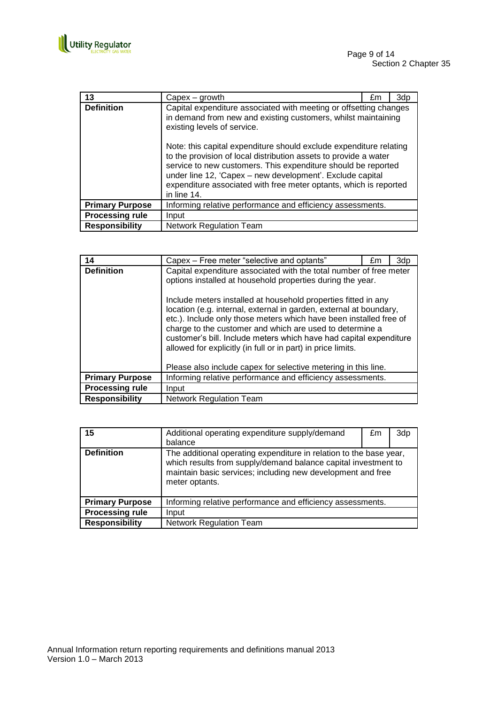

| 13                     | $Capex - growth$                                                                                                                                                                                                                                                                                                                                                                                                                                                                                                              | £m | 3dp |
|------------------------|-------------------------------------------------------------------------------------------------------------------------------------------------------------------------------------------------------------------------------------------------------------------------------------------------------------------------------------------------------------------------------------------------------------------------------------------------------------------------------------------------------------------------------|----|-----|
| <b>Definition</b>      | Capital expenditure associated with meeting or offsetting changes<br>in demand from new and existing customers, whilst maintaining<br>existing levels of service.<br>Note: this capital expenditure should exclude expenditure relating<br>to the provision of local distribution assets to provide a water<br>service to new customers. This expenditure should be reported<br>under line 12, 'Capex - new development'. Exclude capital<br>expenditure associated with free meter optants, which is reported<br>in line 14. |    |     |
| <b>Primary Purpose</b> | Informing relative performance and efficiency assessments.                                                                                                                                                                                                                                                                                                                                                                                                                                                                    |    |     |
| <b>Processing rule</b> | Input                                                                                                                                                                                                                                                                                                                                                                                                                                                                                                                         |    |     |
| <b>Responsibility</b>  | <b>Network Regulation Team</b>                                                                                                                                                                                                                                                                                                                                                                                                                                                                                                |    |     |

| 14                     | Capex – Free meter "selective and optants"                                                                                                                                                                                                                                                                                                                                                                                                                                                                                                       | £m | 3dp |
|------------------------|--------------------------------------------------------------------------------------------------------------------------------------------------------------------------------------------------------------------------------------------------------------------------------------------------------------------------------------------------------------------------------------------------------------------------------------------------------------------------------------------------------------------------------------------------|----|-----|
| <b>Definition</b>      | Capital expenditure associated with the total number of free meter<br>options installed at household properties during the year.<br>Include meters installed at household properties fitted in any<br>location (e.g. internal, external in garden, external at boundary,<br>etc.). Include only those meters which have been installed free of<br>charge to the customer and which are used to determine a<br>customer's bill. Include meters which have had capital expenditure<br>allowed for explicitly (in full or in part) in price limits. |    |     |
|                        | Please also include capex for selective metering in this line.                                                                                                                                                                                                                                                                                                                                                                                                                                                                                   |    |     |
| <b>Primary Purpose</b> | Informing relative performance and efficiency assessments.                                                                                                                                                                                                                                                                                                                                                                                                                                                                                       |    |     |
| <b>Processing rule</b> | Input                                                                                                                                                                                                                                                                                                                                                                                                                                                                                                                                            |    |     |
| Responsibility         | <b>Network Regulation Team</b>                                                                                                                                                                                                                                                                                                                                                                                                                                                                                                                   |    |     |

| 15                     | Additional operating expenditure supply/demand<br>balance                                                                                                                                                             | £m | 3dp |
|------------------------|-----------------------------------------------------------------------------------------------------------------------------------------------------------------------------------------------------------------------|----|-----|
| <b>Definition</b>      | The additional operating expenditure in relation to the base year,<br>which results from supply/demand balance capital investment to<br>maintain basic services; including new development and free<br>meter optants. |    |     |
| <b>Primary Purpose</b> | Informing relative performance and efficiency assessments.                                                                                                                                                            |    |     |
| <b>Processing rule</b> | Input                                                                                                                                                                                                                 |    |     |
| <b>Responsibility</b>  | <b>Network Regulation Team</b>                                                                                                                                                                                        |    |     |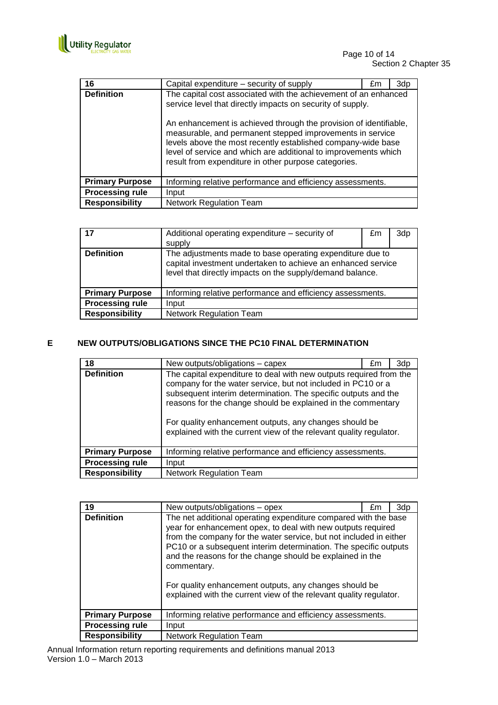

| 16                     | Capital expenditure – security of supply                                                                                                                                                                                                                                                                                                                                                                                                                   | £m | 3dp |
|------------------------|------------------------------------------------------------------------------------------------------------------------------------------------------------------------------------------------------------------------------------------------------------------------------------------------------------------------------------------------------------------------------------------------------------------------------------------------------------|----|-----|
| <b>Definition</b>      | The capital cost associated with the achievement of an enhanced<br>service level that directly impacts on security of supply.<br>An enhancement is achieved through the provision of identifiable,<br>measurable, and permanent stepped improvements in service<br>levels above the most recently established company-wide base<br>level of service and which are additional to improvements which<br>result from expenditure in other purpose categories. |    |     |
| <b>Primary Purpose</b> | Informing relative performance and efficiency assessments.                                                                                                                                                                                                                                                                                                                                                                                                 |    |     |
| <b>Processing rule</b> | Input                                                                                                                                                                                                                                                                                                                                                                                                                                                      |    |     |
| <b>Responsibility</b>  | <b>Network Regulation Team</b>                                                                                                                                                                                                                                                                                                                                                                                                                             |    |     |

| 17                     | Additional operating expenditure – security of<br>supply                                                                                                                               | £m | 3dp |
|------------------------|----------------------------------------------------------------------------------------------------------------------------------------------------------------------------------------|----|-----|
| <b>Definition</b>      | The adjustments made to base operating expenditure due to<br>capital investment undertaken to achieve an enhanced service<br>level that directly impacts on the supply/demand balance. |    |     |
| <b>Primary Purpose</b> | Informing relative performance and efficiency assessments.                                                                                                                             |    |     |
| <b>Processing rule</b> | Input                                                                                                                                                                                  |    |     |
| <b>Responsibility</b>  | <b>Network Regulation Team</b>                                                                                                                                                         |    |     |

## **E NEW OUTPUTS/OBLIGATIONS SINCE THE PC10 FINAL DETERMINATION**

| 18                     | New outputs/obligations - capex                                                                                                                                                                                                                                                                                                                                                                      | £m | 3dp |
|------------------------|------------------------------------------------------------------------------------------------------------------------------------------------------------------------------------------------------------------------------------------------------------------------------------------------------------------------------------------------------------------------------------------------------|----|-----|
| <b>Definition</b>      | The capital expenditure to deal with new outputs required from the<br>company for the water service, but not included in PC10 or a<br>subsequent interim determination. The specific outputs and the<br>reasons for the change should be explained in the commentary<br>For quality enhancement outputs, any changes should be<br>explained with the current view of the relevant quality regulator. |    |     |
| <b>Primary Purpose</b> | Informing relative performance and efficiency assessments.                                                                                                                                                                                                                                                                                                                                           |    |     |
| <b>Processing rule</b> | Input                                                                                                                                                                                                                                                                                                                                                                                                |    |     |
| <b>Responsibility</b>  | <b>Network Regulation Team</b>                                                                                                                                                                                                                                                                                                                                                                       |    |     |

| 19                     | New outputs/obligations – opex                                                                                                                                                                                                                                                                                                                                                                                                                                                        | £m | 3dp |
|------------------------|---------------------------------------------------------------------------------------------------------------------------------------------------------------------------------------------------------------------------------------------------------------------------------------------------------------------------------------------------------------------------------------------------------------------------------------------------------------------------------------|----|-----|
| <b>Definition</b>      | The net additional operating expenditure compared with the base<br>year for enhancement opex, to deal with new outputs required<br>from the company for the water service, but not included in either<br>PC10 or a subsequent interim determination. The specific outputs<br>and the reasons for the change should be explained in the<br>commentary.<br>For quality enhancement outputs, any changes should be<br>explained with the current view of the relevant quality regulator. |    |     |
| <b>Primary Purpose</b> | Informing relative performance and efficiency assessments.                                                                                                                                                                                                                                                                                                                                                                                                                            |    |     |
| <b>Processing rule</b> | Input                                                                                                                                                                                                                                                                                                                                                                                                                                                                                 |    |     |
| <b>Responsibility</b>  | <b>Network Regulation Team</b>                                                                                                                                                                                                                                                                                                                                                                                                                                                        |    |     |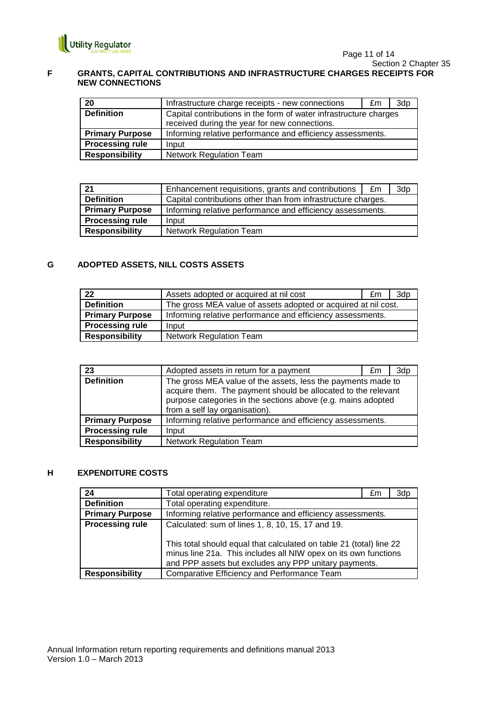

#### **F GRANTS, CAPITAL CONTRIBUTIONS AND INFRASTRUCTURE CHARGES RECEIPTS FOR NEW CONNECTIONS**

| 20                     | Infrastructure charge receipts - new connections                  | £m | 3dp |
|------------------------|-------------------------------------------------------------------|----|-----|
| <b>Definition</b>      | Capital contributions in the form of water infrastructure charges |    |     |
|                        | received during the year for new connections.                     |    |     |
| <b>Primary Purpose</b> | Informing relative performance and efficiency assessments.        |    |     |
| <b>Processing rule</b> | Input                                                             |    |     |
| <b>Responsibility</b>  | <b>Network Regulation Team</b>                                    |    |     |

| 21                     | Enhancement requisitions, grants and contributions            | £m | 3dp |
|------------------------|---------------------------------------------------------------|----|-----|
| <b>Definition</b>      | Capital contributions other than from infrastructure charges. |    |     |
| <b>Primary Purpose</b> | Informing relative performance and efficiency assessments.    |    |     |
| <b>Processing rule</b> | Input                                                         |    |     |
| <b>Responsibility</b>  | <b>Network Regulation Team</b>                                |    |     |

## **G ADOPTED ASSETS, NILL COSTS ASSETS**

| 22                     | Assets adopted or acquired at nil cost                         | £m | 3d <sub>p</sub> |
|------------------------|----------------------------------------------------------------|----|-----------------|
| <b>Definition</b>      | The gross MEA value of assets adopted or acquired at nil cost. |    |                 |
| <b>Primary Purpose</b> | Informing relative performance and efficiency assessments.     |    |                 |
| <b>Processing rule</b> | Input                                                          |    |                 |
| <b>Responsibility</b>  | <b>Network Regulation Team</b>                                 |    |                 |

| 23                     | Adopted assets in return for a payment                                                                                                                                                                                          | £m | 3dp |
|------------------------|---------------------------------------------------------------------------------------------------------------------------------------------------------------------------------------------------------------------------------|----|-----|
| <b>Definition</b>      | The gross MEA value of the assets, less the payments made to<br>acquire them. The payment should be allocated to the relevant<br>purpose categories in the sections above (e.g. mains adopted<br>from a self lay organisation). |    |     |
| <b>Primary Purpose</b> | Informing relative performance and efficiency assessments.                                                                                                                                                                      |    |     |
| <b>Processing rule</b> | Input                                                                                                                                                                                                                           |    |     |
| <b>Responsibility</b>  | <b>Network Regulation Team</b>                                                                                                                                                                                                  |    |     |

## **H EXPENDITURE COSTS**

| 24                     | Total operating expenditure                                                                                                                                                                 | £m | 3dp |
|------------------------|---------------------------------------------------------------------------------------------------------------------------------------------------------------------------------------------|----|-----|
| <b>Definition</b>      | Total operating expenditure.                                                                                                                                                                |    |     |
| <b>Primary Purpose</b> | Informing relative performance and efficiency assessments.                                                                                                                                  |    |     |
| <b>Processing rule</b> | Calculated: sum of lines 1, 8, 10, 15, 17 and 19.<br>This total should equal that calculated on table 21 (total) line 22<br>minus line 21a. This includes all NIW opex on its own functions |    |     |
|                        | and PPP assets but excludes any PPP unitary payments.                                                                                                                                       |    |     |
| <b>Responsibility</b>  | Comparative Efficiency and Performance Team                                                                                                                                                 |    |     |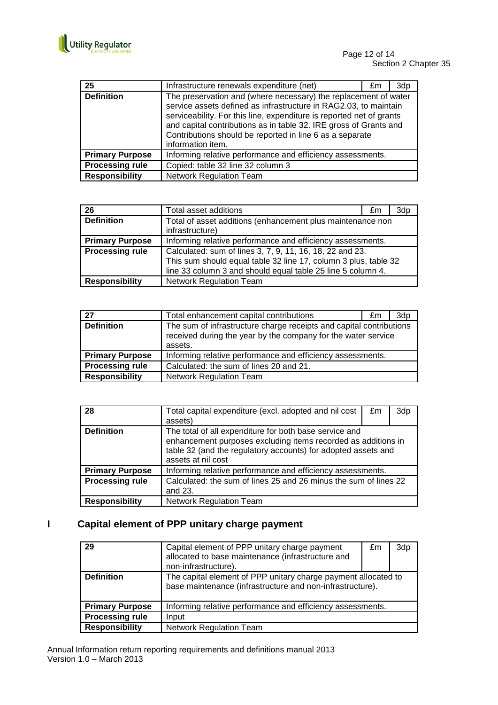

| 25                     | Infrastructure renewals expenditure (net)                                                                                                                                                                                                                                                                                                                         | £m | 3dp |
|------------------------|-------------------------------------------------------------------------------------------------------------------------------------------------------------------------------------------------------------------------------------------------------------------------------------------------------------------------------------------------------------------|----|-----|
| <b>Definition</b>      | The preservation and (where necessary) the replacement of water<br>service assets defined as infrastructure in RAG2.03, to maintain<br>serviceability. For this line, expenditure is reported net of grants<br>and capital contributions as in table 32. IRE gross of Grants and<br>Contributions should be reported in line 6 as a separate<br>information item. |    |     |
| <b>Primary Purpose</b> | Informing relative performance and efficiency assessments.                                                                                                                                                                                                                                                                                                        |    |     |
| <b>Processing rule</b> | Copied: table 32 line 32 column 3                                                                                                                                                                                                                                                                                                                                 |    |     |
| <b>Responsibility</b>  | <b>Network Regulation Team</b>                                                                                                                                                                                                                                                                                                                                    |    |     |

| 26                     | Total asset additions                                                                                                                                                                      | £m | 3dp |
|------------------------|--------------------------------------------------------------------------------------------------------------------------------------------------------------------------------------------|----|-----|
| <b>Definition</b>      | Total of asset additions (enhancement plus maintenance non<br>infrastructure)                                                                                                              |    |     |
| <b>Primary Purpose</b> | Informing relative performance and efficiency assessments.                                                                                                                                 |    |     |
| <b>Processing rule</b> | Calculated: sum of lines 3, 7, 9, 11, 16, 18, 22 and 23.<br>This sum should equal table 32 line 17, column 3 plus, table 32<br>line 33 column 3 and should equal table 25 line 5 column 4. |    |     |
| <b>Responsibility</b>  | <b>Network Regulation Team</b>                                                                                                                                                             |    |     |

| 27                     | Total enhancement capital contributions                                                                                                         | £m | 3dp |
|------------------------|-------------------------------------------------------------------------------------------------------------------------------------------------|----|-----|
| <b>Definition</b>      | The sum of infrastructure charge receipts and capital contributions<br>received during the year by the company for the water service<br>assets. |    |     |
| <b>Primary Purpose</b> | Informing relative performance and efficiency assessments.                                                                                      |    |     |
| <b>Processing rule</b> | Calculated: the sum of lines 20 and 21.                                                                                                         |    |     |
| <b>Responsibility</b>  | <b>Network Regulation Team</b>                                                                                                                  |    |     |

| 28                     | Total capital expenditure (excl. adopted and nil cost<br>assets)                                                                                                                                               | £m | 3dp |
|------------------------|----------------------------------------------------------------------------------------------------------------------------------------------------------------------------------------------------------------|----|-----|
| <b>Definition</b>      | The total of all expenditure for both base service and<br>enhancement purposes excluding items recorded as additions in<br>table 32 (and the regulatory accounts) for adopted assets and<br>assets at nil cost |    |     |
| <b>Primary Purpose</b> | Informing relative performance and efficiency assessments.                                                                                                                                                     |    |     |
| <b>Processing rule</b> | Calculated: the sum of lines 25 and 26 minus the sum of lines 22<br>and 23.                                                                                                                                    |    |     |
| <b>Responsibility</b>  | <b>Network Regulation Team</b>                                                                                                                                                                                 |    |     |

# **I Capital element of PPP unitary charge payment**

| 29                     | Capital element of PPP unitary charge payment<br>allocated to base maintenance (infrastructure and<br>non-infrastructure).  | £m | 3dp |
|------------------------|-----------------------------------------------------------------------------------------------------------------------------|----|-----|
| <b>Definition</b>      | The capital element of PPP unitary charge payment allocated to<br>base maintenance (infrastructure and non-infrastructure). |    |     |
| <b>Primary Purpose</b> | Informing relative performance and efficiency assessments.                                                                  |    |     |
| <b>Processing rule</b> | Input                                                                                                                       |    |     |
| <b>Responsibility</b>  | Network Regulation Team                                                                                                     |    |     |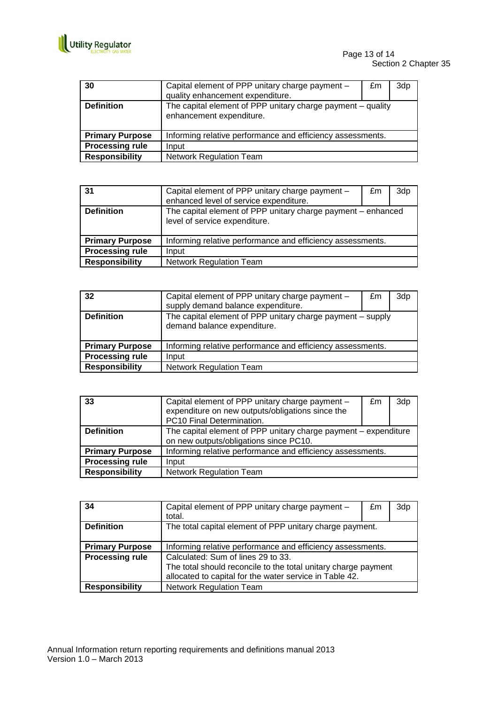

| 30                     | Capital element of PPP unitary charge payment -<br>quality enhancement expenditure.     | £m | 3dp |
|------------------------|-----------------------------------------------------------------------------------------|----|-----|
| <b>Definition</b>      | The capital element of PPP unitary charge payment - quality<br>enhancement expenditure. |    |     |
| <b>Primary Purpose</b> | Informing relative performance and efficiency assessments.                              |    |     |
| <b>Processing rule</b> | Input                                                                                   |    |     |
| <b>Responsibility</b>  | <b>Network Regulation Team</b>                                                          |    |     |

| 31                     | Capital element of PPP unitary charge payment -<br>enhanced level of service expenditure.     | £m | 3dp |
|------------------------|-----------------------------------------------------------------------------------------------|----|-----|
| <b>Definition</b>      | The capital element of PPP unitary charge payment – enhanced<br>level of service expenditure. |    |     |
| <b>Primary Purpose</b> | Informing relative performance and efficiency assessments.                                    |    |     |
| <b>Processing rule</b> | Input                                                                                         |    |     |
| <b>Responsibility</b>  | <b>Network Regulation Team</b>                                                                |    |     |

| 32                     | Capital element of PPP unitary charge payment -<br>supply demand balance expenditure.     | £m | 3dp |
|------------------------|-------------------------------------------------------------------------------------------|----|-----|
| <b>Definition</b>      | The capital element of PPP unitary charge payment - supply<br>demand balance expenditure. |    |     |
| <b>Primary Purpose</b> | Informing relative performance and efficiency assessments.                                |    |     |
| <b>Processing rule</b> | Input                                                                                     |    |     |
| <b>Responsibility</b>  | <b>Network Regulation Team</b>                                                            |    |     |

| 33                     | Capital element of PPP unitary charge payment -                 | £m | 3dp |
|------------------------|-----------------------------------------------------------------|----|-----|
|                        | expenditure on new outputs/obligations since the                |    |     |
|                        | PC10 Final Determination.                                       |    |     |
| <b>Definition</b>      | The capital element of PPP unitary charge payment - expenditure |    |     |
|                        | on new outputs/obligations since PC10.                          |    |     |
| <b>Primary Purpose</b> | Informing relative performance and efficiency assessments.      |    |     |
| <b>Processing rule</b> | Input                                                           |    |     |
| <b>Responsibility</b>  | <b>Network Regulation Team</b>                                  |    |     |

| 34                     | Capital element of PPP unitary charge payment -<br>total.      | £m | 3dp |
|------------------------|----------------------------------------------------------------|----|-----|
| <b>Definition</b>      | The total capital element of PPP unitary charge payment.       |    |     |
| <b>Primary Purpose</b> | Informing relative performance and efficiency assessments.     |    |     |
| <b>Processing rule</b> | Calculated: Sum of lines 29 to 33.                             |    |     |
|                        | The total should reconcile to the total unitary charge payment |    |     |
|                        | allocated to capital for the water service in Table 42.        |    |     |
| <b>Responsibility</b>  | <b>Network Regulation Team</b>                                 |    |     |